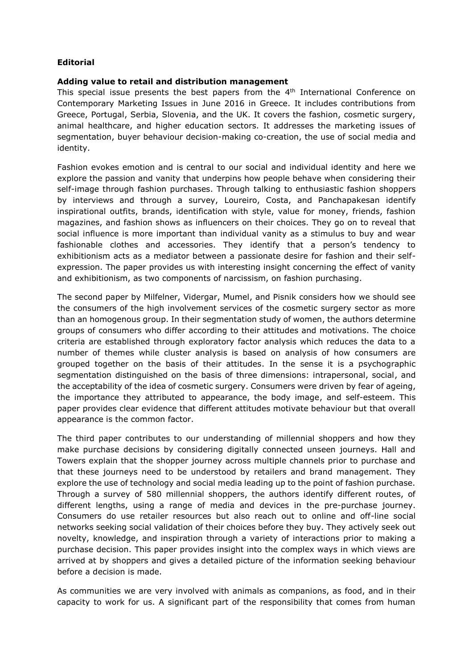## **Editorial**

## **Adding value to retail and distribution management**

This special issue presents the best papers from the  $4<sup>th</sup>$  International Conference on Contemporary Marketing Issues in June 2016 in Greece. It includes contributions from Greece, Portugal, Serbia, Slovenia, and the UK. It covers the fashion, cosmetic surgery, animal healthcare, and higher education sectors. It addresses the marketing issues of segmentation, buyer behaviour decision-making co-creation, the use of social media and identity.

Fashion evokes emotion and is central to our social and individual identity and here we explore the passion and vanity that underpins how people behave when considering their self-image through fashion purchases. Through talking to enthusiastic fashion shoppers by interviews and through a survey, Loureiro, Costa, and Panchapakesan identify inspirational outfits, brands, identification with style, value for money, friends, fashion magazines, and fashion shows as influencers on their choices. They go on to reveal that social influence is more important than individual vanity as a stimulus to buy and wear fashionable clothes and accessories. They identify that a person's tendency to exhibitionism acts as a mediator between a passionate desire for fashion and their selfexpression. The paper provides us with interesting insight concerning the effect of vanity and exhibitionism, as two components of narcissism, on fashion purchasing.

The second paper by Milfelner, Vidergar, Mumel, and Pisnik considers how we should see the consumers of the high involvement services of the cosmetic surgery sector as more than an homogenous group. In their segmentation study of women, the authors determine groups of consumers who differ according to their attitudes and motivations. The choice criteria are established through exploratory factor analysis which reduces the data to a number of themes while cluster analysis is based on analysis of how consumers are grouped together on the basis of their attitudes. In the sense it is a psychographic segmentation distinguished on the basis of three dimensions: intrapersonal, social, and the acceptability of the idea of cosmetic surgery. Consumers were driven by fear of ageing, the importance they attributed to appearance, the body image, and self-esteem. This paper provides clear evidence that different attitudes motivate behaviour but that overall appearance is the common factor.

The third paper contributes to our understanding of millennial shoppers and how they make purchase decisions by considering digitally connected unseen journeys. Hall and Towers explain that the shopper journey across multiple channels prior to purchase and that these journeys need to be understood by retailers and brand management. They explore the use of technology and social media leading up to the point of fashion purchase. Through a survey of 580 millennial shoppers, the authors identify different routes, of different lengths, using a range of media and devices in the pre-purchase journey. Consumers do use retailer resources but also reach out to online and off-line social networks seeking social validation of their choices before they buy. They actively seek out novelty, knowledge, and inspiration through a variety of interactions prior to making a purchase decision. This paper provides insight into the complex ways in which views are arrived at by shoppers and gives a detailed picture of the information seeking behaviour before a decision is made.

As communities we are very involved with animals as companions, as food, and in their capacity to work for us. A significant part of the responsibility that comes from human